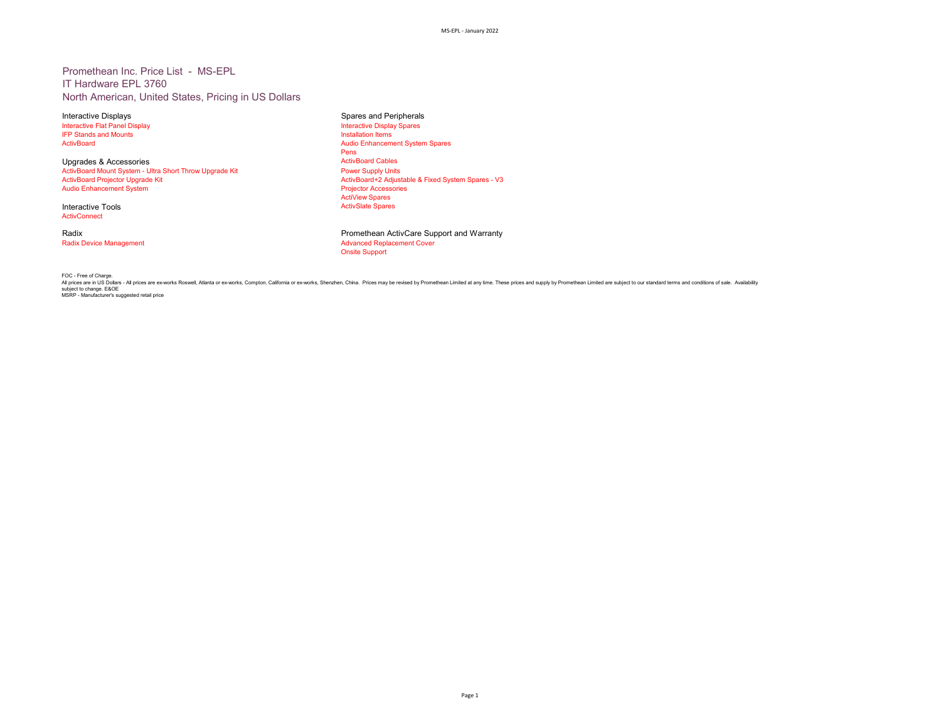### Promethean Inc. Price List - MS-EPL IT Hardware EPL 3760 North American, United States, Pricing in US Dollars

Interactive Flat Panel Display and Contactive Display Interactive Display Interactive Display Interactive Display<br>IFP Stands and Mounts IFP Stands and Mounts<br>ActivBoard

Upgrades & Accessories **ActivBoard Cables** ActivBoard Cables<br>
ActivBoard Mount System - Ultra Short Throw Upgrade Kit **ActivBoard Mount System - Ultra Short Throw** -<br>ActivBoard Mount System - Ultra Short Throw Upgrade Kit<br>ActivBoard Projector Upgrade Kit Audio Enhancement System

Interactive Tools **ActivConnect** 

Interactive Displays and Peripherals and Peripherals Spares and Peripherals Spares and Peripherals Interactive Display Spares Audio Enhancement System Spares Pens<br>ActivBoard Cables ActivBoard+2 Adjustable & Fixed System Spares - V3<br>Projector Accessories ActiView Spares<br>ActivSlate Spares

Radix **Promethean ActivCare Support and Warranty**<br>
Radix Device Management<br>
Radix Device Management **Advanced Replacement Cover** Onsite Support

FOC - Free of Charge.<br>All prices are in US Dollars - All prices are ex-works Roswell, Allanta or ex-works, Somplon, California or ex-works, Shenzhen, China. Prices may be revised by Promethean Limited at any time. These pr subject to change. E&OE MSRP - Manufacturer's suggested retail price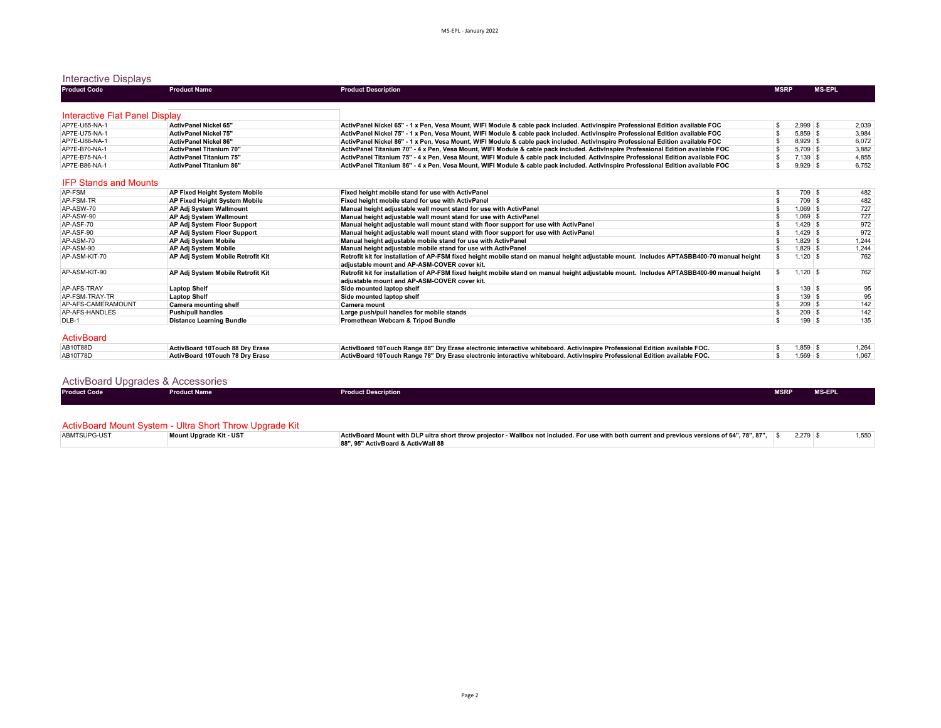## Interactive Displays

| <b>Product Code</b>            | <b>Product Name</b>                    | <b>Product Description</b>                                                                                                                                                                | <b>MSRP</b> |            | <b>MS-EPL</b> |       |
|--------------------------------|----------------------------------------|-------------------------------------------------------------------------------------------------------------------------------------------------------------------------------------------|-------------|------------|---------------|-------|
|                                |                                        |                                                                                                                                                                                           |             |            |               |       |
| Interactive Flat Panel Display |                                        |                                                                                                                                                                                           |             |            |               |       |
| AP7E-U65-NA-1                  | <b>ActivPanel Nickel 65"</b>           | ActivPanel Nickel 65" - 1 x Pen. Vesa Mount. WIFI Module & cable pack included. ActivInspire Professional Edition available FOC                                                           | \$          | $2.999$ \$ |               | 2.039 |
| AP7E-U75-NA-1                  | <b>ActivPanel Nickel 75"</b>           | ActivPanel Nickel 75" - 1 x Pen, Vesa Mount, WIFI Module & cable pack included. ActivInspire Professional Edition available FOC                                                           |             | $5.859$ \$ |               | 3,984 |
| AP7E-U86-NA-1                  | <b>ActivPanel Nickel 86"</b>           | ActivPanel Nickel 86" - 1 x Pen, Vesa Mount, WIFI Module & cable pack included. ActivInspire Professional Edition available FOC                                                           |             | $8.929$ \$ |               | 6,072 |
| AP7E-B70-NA-1                  | <b>ActivPanel Titanium 70"</b>         | ActivPanel Titanium 70" - 4 x Pen, Vesa Mount, WIFI Module & cable pack included. ActivInspire Professional Edition available FOC                                                         | S.          | $5.709$ \$ |               | 3,882 |
| AP7E-B75-NA-1                  | <b>ActivPanel Titanium 75"</b>         | ActivPanel Titanium 75" - 4 x Pen, Vesa Mount, WIFI Module & cable pack included. ActivInspire Professional Edition available FOC                                                         | S           | $7.139$ \$ |               | 4,855 |
| AP7E-B86-NA-1                  | <b>ActivPanel Titanium 86"</b>         | ActivPanel Titanium 86" - 4 x Pen. Vesa Mount. WIFI Module & cable pack included. ActivInspire Professional Edition available FOC                                                         | \$.         | $9.929$ \$ |               | 6.752 |
| <b>IFP Stands and Mounts</b>   |                                        |                                                                                                                                                                                           |             |            |               |       |
| AP-FSM                         | AP Fixed Height System Mobile          | Fixed height mobile stand for use with ActivPanel                                                                                                                                         | S           | 709 \$     |               | 482   |
| AP-FSM-TR                      | AP Fixed Height System Mobile          | Fixed height mobile stand for use with ActivPanel                                                                                                                                         |             | $709$ \$   |               | 482   |
| AP-ASW-70                      | AP Adj System Wallmount                | Manual height adjustable wall mount stand for use with ActivPanel                                                                                                                         |             | $1.069$ \$ |               | 727   |
| AP-ASW-90                      | <b>AP Adi System Wallmount</b>         | Manual height adjustable wall mount stand for use with ActivPanel                                                                                                                         |             | $1.069$ \$ |               | 727   |
| AP-ASF-70                      | AP Adj System Floor Support            | Manual height adjustable wall mount stand with floor support for use with ActivPanel                                                                                                      |             | $1.429$ \$ |               | 972   |
| AP-ASF-90                      | AP Adj System Floor Support            | Manual height adjustable wall mount stand with floor support for use with ActivPanel                                                                                                      |             | $1,429$ \$ |               | 972   |
| AP-ASM-70                      | <b>AP Adi System Mobile</b>            | Manual height adjustable mobile stand for use with ActivPanel                                                                                                                             | \$.         | $1.829$ \$ |               | 1.244 |
| AP-ASM-90                      | <b>AP Adi System Mobile</b>            | Manual height adjustable mobile stand for use with ActivPanel                                                                                                                             |             | $1.829$ \$ |               | 1,244 |
| AP-ASM-KIT-70                  | AP Adj System Mobile Retrofit Kit      | Retrofit kit for installation of AP-FSM fixed height mobile stand on manual height adjustable mount. Includes APTASBB400-70 manual height<br>adiustable mount and AP-ASM-COVER cover kit. |             | $1.120$ \$ |               | 762   |
| AP-ASM-KIT-90                  | AP Adj System Mobile Retrofit Kit      | Retrofit kit for installation of AP-FSM fixed height mobile stand on manual height adjustable mount. Includes APTASBB400-90 manual height<br>adjustable mount and AP-ASM-COVER cover kit. |             | $1.120$ \$ |               | 762   |
| AP-AFS-TRAY                    | <b>Laptop Shelf</b>                    | Side mounted laptop shelf                                                                                                                                                                 | \$          | $139$ \$   |               | 95    |
| AP-FSM-TRAY-TR                 | <b>Laptop Shelf</b>                    | Side mounted laptop shelf                                                                                                                                                                 |             | $139$ \$   |               | 95    |
| AP-AFS-CAMERAMOUNT             | Camera mounting shelf                  | Camera mount                                                                                                                                                                              |             | $209$ \$   |               | 142   |
| AP-AFS-HANDLES                 | <b>Push/pull handles</b>               | Large push/pull handles for mobile stands                                                                                                                                                 | S           | $209$ \$   |               | 142   |
| DLB-1                          | <b>Distance Learning Bundle</b>        | Promethean Webcam & Tripod Bundle                                                                                                                                                         | \$          | $199$ \$   |               | 135   |
| <b>ActivBoard</b>              |                                        |                                                                                                                                                                                           |             |            |               |       |
| AB10T88D                       | ActivBoard 10Touch 88 Dry Erase        | ActivBoard 10Touch Range 88" Dry Erase electronic interactive whiteboard. ActivInspire Professional Edition available FOC.                                                                | s           | $1,859$ \$ |               | 1,264 |
| AB10T78D                       | <b>ActivBoard 10Touch 78 Drv Erase</b> | ActivBoard 10Touch Range 78" Dry Erase electronic interactive whiteboard. Activinspire Professional Edition available FOC.                                                                | \$          | $1.569$ \$ |               | 1.067 |
|                                |                                        |                                                                                                                                                                                           |             |            |               |       |

| <b>ActivBoard Upgrades &amp; Accessories</b> |                                                                                                                                                                                                                                                                                                 |                            |             |               |  |  |  |  |
|----------------------------------------------|-------------------------------------------------------------------------------------------------------------------------------------------------------------------------------------------------------------------------------------------------------------------------------------------------|----------------------------|-------------|---------------|--|--|--|--|
| <b>Product Code</b>                          | <b>Product Name</b>                                                                                                                                                                                                                                                                             | <b>Product Description</b> | <b>MSRP</b> | <b>MS-EPL</b> |  |  |  |  |
|                                              | $\mathbf{A}$ at $\mathbf{B}$ and $\mathbf{A}$ and $\mathbf{A}$ and $\mathbf{A}$ and $\mathbf{A}$ and $\mathbf{A}$ and $\mathbf{A}$ and $\mathbf{A}$ and $\mathbf{A}$ and $\mathbf{A}$ and $\mathbf{A}$ and $\mathbf{A}$ and $\mathbf{A}$ and $\mathbf{A}$ and $\mathbf{A}$ and $\mathbf{A}$ and |                            |             |               |  |  |  |  |

|              | ActivBoard Mount System - Ultra Short Throw Upgrade F |                                                                                                                                                 |       |        |
|--------------|-------------------------------------------------------|-------------------------------------------------------------------------------------------------------------------------------------------------|-------|--------|
| ABMTSUPG-UST | Mount Uparade Kit - UST                               | ActivBoard Mount with DLP ultra short throw projector - Wallbox not included. For use with both current and previous versions of 64". 78", 87". | 2.279 | טטט, ו |
|              |                                                       | 88". 95" ActivBoard & ActivWall 88                                                                                                              |       |        |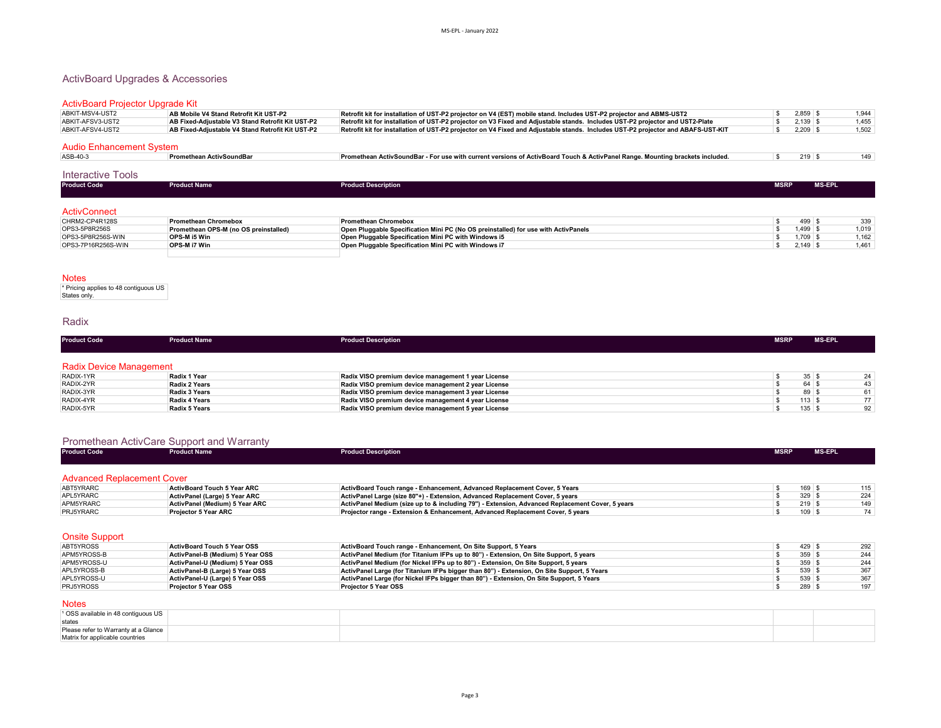### ActivBoard Upgrades & Accessories

### ActivBoard Projector Upgrade Kit

| ABKIT-MSV4-UST2          | AB Mobile V4 Stand Retrofit Kit UST-P2           | Retrofit kit for installation of UST-P2 projector on V4 (EST) mobile stand. Includes UST-P2 projector and ABMS-UST2              |  | 2.859               | 1.944 |
|--------------------------|--------------------------------------------------|----------------------------------------------------------------------------------------------------------------------------------|--|---------------------|-------|
| ABKIT-AFSV3-UST2         | AB Fixed-Adiustable V3 Stand Retrofit Kit UST-P2 | Retrofit kit for installation of UST-P2 projector on V3 Fixed and Adjustable stands. Includes UST-P2 projector and UST2-Plate    |  | 2.139               | 1.455 |
| ABKIT-AFSV4-UST2         | AB Fixed-Adiustable V4 Stand Retrofit Kit UST-P2 | Retrofit kit for installation of UST-P2 projector on V4 Fixed and Adjustable stands. Includes UST-P2 projector and ABAFS-UST-KIT |  | 2,209               | 1,502 |
|                          |                                                  |                                                                                                                                  |  |                     |       |
| Audio Enhancement System |                                                  |                                                                                                                                  |  |                     |       |
| ASB-40-3                 | <b>Promethean ActivSoundBar</b>                  | Promethean ActivSoundBar - For use with current versions of ActivBoard Touch & ActivPanel Range. Mounting brackets included.     |  | $219$ $\frac{9}{2}$ | 149   |

#### Interactive Tools

| $1.1001$ againg $1.901$ |                     |                            |             |        |  |  |  |  |
|-------------------------|---------------------|----------------------------|-------------|--------|--|--|--|--|
| <b>Product Code</b>     | <b>Product Name</b> | <b>Product Description</b> | <b>MSRP</b> | MS-EPL |  |  |  |  |
|                         |                     |                            |             |        |  |  |  |  |
| <b>ActivConnect</b>     |                     |                            |             |        |  |  |  |  |

| CHRM2-CP4R128S     | <b>Promethean Chromebox</b>           | <b>Promethean Chromebox</b>                                                               | 499   | 339   |
|--------------------|---------------------------------------|-------------------------------------------------------------------------------------------|-------|-------|
| OPS3-5P8R256S      | Promethean OPS-M (no OS preinstalled) | <b>Open Pluggable Specification Mini PC (No OS preinstalled) for use with ActivPanels</b> | 1.499 | 1,019 |
| OPS3-5P8R256S-WIN  | <b>OPS-M i5 Win</b>                   | Open Pluggable Specification Mini PC with Windows i5                                      | 1.709 | 1,162 |
| OPS3-7P16R256S-WIN | <b>OPS-M i7 Win</b>                   | Open Pluggable Specification Mini PC with Windows i7                                      | 2.149 | 1,461 |
|                    |                                       |                                                                                           |       |       |

#### Notes

\* Pricing applies to 48 contiguous US States only.

### Radix

| <b>Product Code</b>            | <b>Product Name</b> | <b>Product Description</b>                          | <b>MSRP</b> | <b>MS-EPL</b> |    |
|--------------------------------|---------------------|-----------------------------------------------------|-------------|---------------|----|
|                                |                     |                                                     |             |               |    |
| <b>Radix Device Management</b> |                     |                                                     |             |               |    |
| RADIX-1YR                      | Radix 1 Year        | Radix VISO premium device management 1 year License |             | 35            | 24 |
| RADIX-2YR                      | Radix 2 Years       | Radix VISO premium device management 2 year License |             | 64            | 43 |
| RADIX-3YR                      | Radix 3 Years       | Radix VISO premium device management 3 year License |             | 89 \$         | 61 |
| RADIX-4YR                      | Radix 4 Years       | Radix VISO premium device management 4 year License |             | $113$ \ \$    | 77 |
| RADIX-5YR                      | Radix 5 Years       | Radix VISO premium device management 5 year License |             | $135$ \$      | 92 |

| <b>Product Code</b>               | <b>Product Name</b>                | <b>Product Description</b>                                                                      | <b>MSRP</b> |            | <b>MS-EPL</b> |
|-----------------------------------|------------------------------------|-------------------------------------------------------------------------------------------------|-------------|------------|---------------|
| <b>Advanced Replacement Cover</b> |                                    |                                                                                                 |             |            |               |
| ABT5YRARC                         | <b>ActivBoard Touch 5 Year ARC</b> | ActivBoard Touch range - Enhancement, Advanced Replacement Cover, 5 Years                       |             | $169$ \ \$ | 115           |
| APL5YRARC                         | ActivPanel (Large) 5 Year ARC      | ActivPanel Large (size 80"+) - Extension, Advanced Replacement Cover, 5 years                   |             | $329$ \$   | 224           |
|                                   | ActivPanel (Medium) 5 Year ARC     | ActivPanel Medium (size up to & including 79") - Extension, Advanced Replacement Cover, 5 years |             | 219S       | 149           |
| APM5YRARC                         |                                    | Projector range - Extension & Enhancement, Advanced Replacement Cover, 5 years                  |             | 109        | 74            |

**Onsite Support**<br>**ABT5YROSS** ABT5YROSS **ActivBoard Touch 5 Year OSS ActivBoard Touch range - Enhancement, On Site Support, 5 Years Actives are actives and the State of San ActivBoard Touch range - Enhancement, On Site Support, 5 Years<br>APM5YROSS-B** APM5YROSS-B **ActivPanel-B (Medium) 5 Year OSS ActivPanel Medium (for Titanium IFPs up to 80") - Extension, On Site Support, 5 years Active and Secure 2018** 359 \$ 359 \$ 244<br>APM5YROSS-U ActivPanel-U (Medium) 5 Year OSS A APM5YROSS-U **ActivPanel-U (Medium) 5 Year OSS ActivPanel Medium (for Nickel IFPs up to 80") - Extension, On Site Support, 5 years Active and ActivPanel Let and ActivPanel Let and ActivPanel Let and ActivPanel Let and A** APL5YROSS-B **ActivPanel-B (Large) 5 Year OSS ActivPanel Large (for Titanium IFPs bigger than 80") - Extension, On Site Support, 5 Years Active and Secure 2018** \$ 539 \$ 367 \$ 367 \$ 367 \$ 367 \$ 367 \$ 367 \$ 367 \$ 367 \$ 36 APL5YROSS-U **ActivPanel-U (Large) 5 Year OSS ActivPanel Large (for Nickel IFPs bigger than 80") - Extension, On Site Support, 5 Years Active ActivPanel Large (for Nickel IFPs bigger than 80") - Extension, On Site Suppo** PRJ5YROSS **Projector 5 Year OSS Projector 5 Year OSS** \$ 289 \$ 197

**Notes** 

| states                               |  |  |
|--------------------------------------|--|--|
| Please refer to Warranty at a Glance |  |  |
| Matrix for applicable countries      |  |  |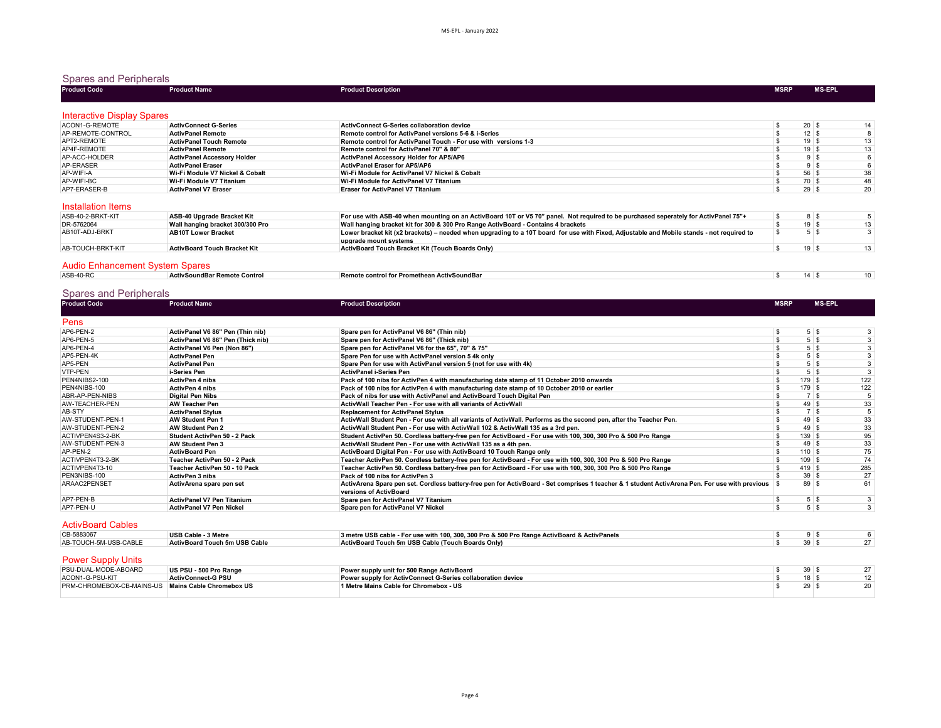### Spares and Peripherals

| <b>Product Code</b>                                | <b>Product Name</b>                | <b>Product Description</b>                                      | <b>MSRP</b> | <b>MS-EPL</b>      |
|----------------------------------------------------|------------------------------------|-----------------------------------------------------------------|-------------|--------------------|
|                                                    |                                    |                                                                 |             |                    |
| <b>Interactive Display Spares</b>                  |                                    |                                                                 |             |                    |
| ACON1-G-REMOTE                                     | <b>ActivConnect G-Series</b>       | ActivConnect G-Series collaboration device                      |             | $20 \mid$ \$<br>14 |
| AP-REMOTE-CONTROL                                  | <b>ActivPanel Remote</b>           | Remote control for ActivPanel versions 5-6 & i-Series           |             | 12   ນ             |
| APT2-REMOTE                                        | <b>ActivPanel Touch Remote</b>     | Remote control for ActivPanel Touch - For use with versions 1-3 |             | 13<br>19 ∣ ъ       |
| AP4F-REMOTE                                        | <b>ActivPanel Remote</b>           | Remote control for ActivPanel 70" & 80"                         |             | 13<br>19 \         |
| AP-ACC-HOLDER                                      | <b>ActivPanel Accessory Holder</b> | ActivPanel Accessory Holder for AP5/AP6                         |             |                    |
| AP-ERASER                                          | <b>ActivPanel Eraser</b>           | ActivPanel Eraser for AP5/AP6                                   |             |                    |
| AP-WIFI-A                                          | Wi-Fi Module V7 Nickel & Cobalt    | Wi-Fi Module for ActivPanel V7 Nickel & Cobalt                  |             | 56<br>38           |
| AP-WIFI-BC                                         | Wi-Fi Module V7 Titanium           | Wi-Fi Module for ActivPanel V7 Titanium                         |             | 70<br>48           |
| AP7-ERASER-B                                       | <b>ActivPanel V7 Eraser</b>        | <b>Eraser for ActivPanel V7 Titanium</b>                        |             | $29 \mid$ \$<br>20 |
| <b>The Committee Committee Committee Committee</b> |                                    |                                                                 |             |                    |

#### Installation Items

| ASB-40-2-BRKT-KIT | ASB-40 Upgrade Bracket Kit          | For use with ASB-40 when mounting on an ActivBoard 10T or V5 70" panel. Not required to be purchased seperately for ActivPanel 75"+       |    |    |
|-------------------|-------------------------------------|-------------------------------------------------------------------------------------------------------------------------------------------|----|----|
| DR-5762064        | Wall hanging bracket 300/300 Pro    | Wall hanging bracket kit for 300 & 300 Pro Range ActivBoard - Contains 4 brackets                                                         | 19 | 13 |
| AB10T-ADJ-BRKT    | <b>AB10T Lower Bracket</b>          | Lower bracket kit (x2 brackets) – needed when upgrading to a 10T board for use with Fixed, Adjustable and Mobile stands - not required to |    |    |
|                   |                                     | upgrade mount systems                                                                                                                     |    |    |
| AB-TOUCH-BRKT-KIT | <b>ActivBoard Touch Bracket Kit</b> | ActivBoard Touch Bracket Kit (Touch Boards Only)                                                                                          | 19 | 13 |
|                   |                                     |                                                                                                                                           |    |    |

### Audio Enhancement System Spares

| ASB-40-RC | ıote Control<br>.<br>ActivSc | methean ActivSoundBar<br>Remote<br>- n---<br>$\sim$ control for $\sim$ | 1 A |  |
|-----------|------------------------------|------------------------------------------------------------------------|-----|--|
|           | ' Kemol.                     |                                                                        |     |  |

# Spares and Peripherals

|                  |                                   | <b>Product Description</b>                                                                                                                          | <b>MSRP</b> |              | <b>MS-EPL</b> |     |
|------------------|-----------------------------------|-----------------------------------------------------------------------------------------------------------------------------------------------------|-------------|--------------|---------------|-----|
| Pens             |                                   |                                                                                                                                                     |             |              |               |     |
| AP6-PEN-2        | ActivPanel V6 86" Pen (Thin nib)  | Spare pen for ActivPanel V6 86" (Thin nib)                                                                                                          |             | $5$ \ $$$    |               | 3   |
| AP6-PEN-5        | ActivPanel V6 86" Pen (Thick nib) | Spare pen for ActivPanel V6 86" (Thick nib)                                                                                                         |             | $5$ \ $$$    |               |     |
| AP6-PEN-4        | ActivPanel V6 Pen (Non 86")       | Spare pen for ActivPanel V6 for the 65", 70" & 75"                                                                                                  |             | $5$ \ $$$    |               |     |
| AP5-PEN-4K       | <b>ActivPanel Pen</b>             | Spare Pen for use with ActivPanel version 5 4k only                                                                                                 |             | $5$ \ $$$    |               | 3   |
| AP5-PEN          | <b>ActivPanel Pen</b>             | Spare Pen for use with ActivPanel version 5 (not for use with 4k)                                                                                   |             | $5$ \ $$$    |               |     |
| <b>VTP-PEN</b>   | i-Series Pen                      | ActivPanel i-Series Pen                                                                                                                             |             | $5$ \ $$$    |               |     |
| PEN4NIBS2-100    | <b>ActivPen 4 nibs</b>            | Pack of 100 nibs for ActivPen 4 with manufacturing date stamp of 11 October 2010 onwards                                                            |             | $179$ \$     |               | 122 |
| PEN4NIBS-100     | <b>ActivPen 4 nibs</b>            | Pack of 100 nibs for ActivPen 4 with manufacturing date stamp of 10 October 2010 or earlier                                                         |             | $179$ \$     |               | 122 |
| ABR-AP-PEN-NIBS  | <b>Digital Pen Nibs</b>           | <b>Pack of nibs for use with ActivPanel and ActivBoard Touch Digital Pen</b>                                                                        |             | <b>7</b> \$  |               |     |
| AW-TEACHER-PEN   | <b>AW Teacher Pen</b>             | ActivWall Teacher Pen - For use with all variants of ActivWall                                                                                      |             | $49$ \$      |               | 33  |
| AB-STY           | <b>ActivPanel Stylus</b>          | <b>Replacement for ActivPanel Stylus</b>                                                                                                            |             | 7 \$         |               |     |
| AW-STUDENT-PEN-1 | <b>AW Student Pen 1</b>           | ActivWall Student Pen - For use with all variants of ActivWall. Performs as the second pen, after the Teacher Pen.                                  |             | $49$ \$      |               | 33  |
| AW-STUDENT-PEN-2 | <b>AW Student Pen 2</b>           | ActivWall Student Pen - For use with ActivWall 102 & ActivWall 135 as a 3rd pen.                                                                    |             | $49$ \$      |               | 33  |
| ACTIVPEN4S3-2-BK | Student ActivPen 50 - 2 Pack      | Student ActivPen 50. Cordless battery-free pen for ActivBoard - For use with 100, 300, 300 Pro & 500 Pro Range                                      |             | 139S         |               | 95  |
| AW-STUDENT-PEN-3 | <b>AW Student Pen 3</b>           | ActivWall Student Pen - For use with ActivWall 135 as a 4th pen.                                                                                    |             | $49 \mid$ \$ |               | 33  |
| AP-PEN-2         | <b>ActivBoard Pen</b>             | ActivBoard Digital Pen - For use with ActivBoard 10 Touch Range only                                                                                |             | $110$ \$     |               | 75  |
| ACTIVPEN4T3-2-BK | Teacher ActivPen 50 - 2 Pack      | Teacher ActivPen 50. Cordless battery-free pen for ActivBoard - For use with 100, 300, 300 Pro & 500 Pro Range                                      |             | $109$ \$     |               | 74  |
| ACTIVPEN4T3-10   | Teacher ActivPen 50 - 10 Pack     | Teacher ActivPen 50. Cordless battery-free pen for ActivBoard - For use with 100, 300, 300 Pro & 500 Pro Range                                      |             | $419$ \$     |               | 285 |
| PEN3NIBS-100     | <b>ActivPen 3 nibs</b>            | Pack of 100 nibs for ActivPen 3                                                                                                                     |             | 39S          |               | 27  |
| ARAAC2PENSET     | ActivArena spare pen set          | ActivArena Spare pen set. Cordless battery-free pen for ActivBoard - Set comprises 1 teacher & 1 student ActivArena Pen. For use with previous   \$ |             | 89S          |               | 61  |
|                  |                                   | versions of ActivBoard                                                                                                                              |             |              |               |     |
| AP7-PEN-B        | <b>ActivPanel V7 Pen Titanium</b> | Spare pen for ActivPanel V7 Titanium                                                                                                                |             | $5$ \ $$$    |               |     |
| AP7-PEN-U        | <b>ActivPanel V7 Pen Nickel</b>   | Spare pen for ActivPanel V7 Nickel                                                                                                                  |             | $5$ \ $$$    |               | 3   |

#### ActivBoard Cables

| CB-5883067            | USB Cable - 3 Metre           | 3 metre USB cable - For use with 100, 300, 300 Pro & 500 Pro Range ActivBoard & ActivPanels |  |  |
|-----------------------|-------------------------------|---------------------------------------------------------------------------------------------|--|--|
| AB-TOUCH-5M-USB-CABLE | ActivBoard Touch 5m USB Cable | ActivBoard Touch 5m USB Cable (Touch Boards Only)                                           |  |  |

### **Power Supply Units**

| PSU-DUAL-MODE-ABOARD                                      | US PSU - 500 Pro Range    | Power supply unit for 500 Range ActivBoard                  | 30              |  |
|-----------------------------------------------------------|---------------------------|-------------------------------------------------------------|-----------------|--|
| ACON1-G-PSU-KIT                                           | <b>ActivConnect-G PSU</b> | Power supply for ActivConnect G-Series collaboration device | 18 <sub>1</sub> |  |
| <b>PRM-CHROMEBOX-CB-MAINS-US Mains Cable Chromebox US</b> |                           | 1 Metre Mains Cable for Chromebox - US                      | 29              |  |
|                                                           |                           |                                                             |                 |  |